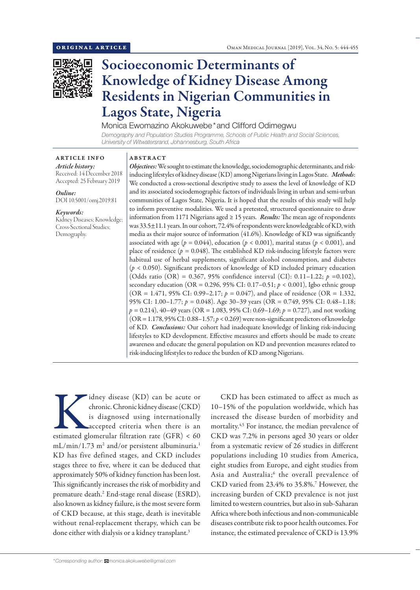

# Socioeconomic Determinants of Knowledge of Kidney Disease Among Residents in Nigerian Communities in Lagos State, Nigeria

Monica Ewomazino Akokuwebe\*and Clifford Odimegwu

*Demography and Population Studies Programme, Schools of Public Health and Social Sciences, University of Witwatersrand, Johannesburg, South Africa*

ARTICLE INFO *Article history:* Received: 14 December 2018 Accepted: 25 February 2019

*Online:* DOI 10.5001/omj.2019.81

*Keywords:*  Kidney Diseases; Knowledge; Cross-Sectional Studies; Demography.

### ABSTRACT

*Objectives:* We sought to estimate the knowledge, sociodemographic determinants, and riskinducing lifestyles of kidney disease (KD) among Nigerians living in Lagos State. *Methods*: We conducted a cross-sectional descriptive study to assess the level of knowledge of KD and its associated sociodemographic factors of individuals living in urban and semi-urban communities of Lagos State, Nigeria. It is hoped that the results of this study will help to inform preventive modalities. We used a pretested, structured questionnaire to draw information from 1171 Nigerians aged ≥ 15 years. *Results:* The mean age of respondents was 33.5±11.1 years. In our cohort, 72.4% of respondents were knowledgeable of KD, with media as their major source of information (41.6%). Knowledge of KD was significantly associated with age ( $p = 0.044$ ), education ( $p < 0.001$ ), marital status ( $p < 0.001$ ), and place of residence ( $p = 0.048$ ). The established KD risk-inducing lifestyle factors were habitual use of herbal supplements, significant alcohol consumption, and diabetes (*p* < 0.050). Significant predictors of knowledge of KD included primary education (Odds ratio (OR) = 0.367, 95% confidence interval (CI): 0.11–1.22; *p* =0.102), secondary education (OR = 0.296, 95% CI: 0.17–0.51; *p* < 0.001), Igbo ethnic group (OR = 1.471, 95% CI: 0.99–2.17;  $p = 0.047$ ), and place of residence (OR = 1.332, 95% CI: 1.00–1.77; *p =* 0.048). Age 30–39 years (OR = 0.749, 95% CI: 0.48–1.18; *p =* 0.214), 40–49 years (OR = 1.083, 95% CI: 0.69–1.69; *p =* 0.727), and not working (OR = 1.178, 95% CI: 0.88–1.57; *p* < 0.269) were non-significant predictors of knowledge of KD. *Conclusions:* Our cohort had inadequate knowledge of linking risk-inducing lifestyles to KD development. Effective measures and efforts should be made to create awareness and educate the general population on KD and prevention measures related to risk-inducing lifestyles to reduce the burden of KD among Nigerians.

Kidney disease (KD) can be acute or chronic. Chronic kidney disease (CKD) is diagnosed using internationally accepted criteria when there is an estimated glomerular filtration rate (GFR) < 60 chronic. Chronic kidney disease (CKD) is diagnosed using internationally accepted criteria when there is an mL/min/1.73 m<sup>2</sup> and/or persistent albuminuria.<sup>1</sup> KD has five defined stages, and CKD includes stages three to five, where it can be deduced that approximately 50% of kidney function has been lost. This significantly increases the risk of morbidity and premature death.<sup>2</sup> End-stage renal disease (ESRD), also known as kidney failure, is the most severe form of CKD because, at this stage, death is inevitable without renal-replacement therapy, which can be done either with dialysis or a kidney transplant.<sup>3</sup>

CKD has been estimated to affect as much as 10–15% of the population worldwide, which has increased the disease burden of morbidity and mortality.4,5 For instance, the median prevalence of CKD was 7.2% in persons aged 30 years or older from a systematic review of 26 studies in different populations including 10 studies from America, eight studies from Europe, and eight studies from Asia and Australia;<sup>6</sup> the overall prevalence of CKD varied from 23.4% to 35.8%.<sup>7</sup> However, the increasing burden of CKD prevalence is not just limited to western countries, but also in sub-Saharan Africa where both infectious and non-communicable diseases contribute risk to poor health outcomes. For instance, the estimated prevalence of CKD is 13.9%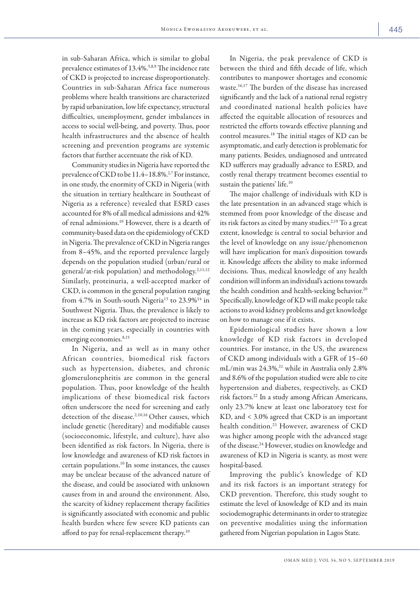in sub-Saharan Africa, which is similar to global prevalence estimates of 13.4%.5,8,9 The incidence rate of CKD is projected to increase disproportionately. Countries in sub-Saharan Africa face numerous problems where health transitions are characterized by rapid urbanization, low life expectancy, structural difficulties, unemployment, gender imbalances in access to social well-being, and poverty. Thus, poor health infrastructures and the absence of health screening and prevention programs are systemic factors that further accentuate the risk of KD.

Community studies in Nigeria have reported the prevalence of CKD to be 11.4-18.8%.<sup>2,7</sup> For instance, in one study, the enormity of CKD in Nigeria (with the situation in tertiary healthcare in Southeast of Nigeria as a reference) revealed that ESRD cases accounted for 8% of all medical admissions and 42% of renal admissions.10 However, there is a dearth of community-based data on the epidemiology of CKD in Nigeria. The prevalence of CKD in Nigeria ranges from 8–45%, and the reported prevalence largely depends on the population studied (urban/rural or general/at-risk population) and methodology.2,11,12 Similarly, proteinuria, a well-accepted marker of CKD, is common in the general population ranging from  $4.7\%$  in South-south Nigeria<sup>13</sup> to  $23.9\%$ <sup>14</sup> in Southwest Nigeria. Thus, the prevalence is likely to increase as KD risk factors are projected to increase in the coming years, especially in countries with emerging economies.<sup>8,15</sup>

In Nigeria, and as well as in many other African countries, biomedical risk factors such as hypertension, diabetes, and chronic glomerulonephritis are common in the general population. Thus, poor knowledge of the health implications of these biomedical risk factors often underscore the need for screening and early detection of the disease.<sup>2,10,16</sup> Other causes, which include genetic (hereditary) and modifiable causes (socioeconomic, lifestyle, and culture), have also been identified as risk factors. In Nigeria, there is low knowledge and awareness of KD risk factors in certain populations.10 In some instances, the causes may be unclear because of the advanced nature of the disease, and could be associated with unknown causes from in and around the environment. Also, the scarcity of kidney replacement therapy facilities is significantly associated with economic and public health burden where few severe KD patients can afford to pay for renal-replacement therapy.10

In Nigeria, the peak prevalence of CKD is between the third and fifth decade of life, which contributes to manpower shortages and economic waste.16,17 The burden of the disease has increased significantly and the lack of a national renal registry and coordinated national health policies have affected the equitable allocation of resources and restricted the efforts towards effective planning and control measures.18 The initial stages of KD can be asymptomatic, and early detection is problematic for many patients. Besides, undiagnosed and untreated KD sufferers may gradually advance to ESRD, and costly renal therapy treatment becomes essential to sustain the patients' life.<sup>10</sup>

The major challenge of individuals with KD is the late presentation in an advanced stage which is stemmed from poor knowledge of the disease and its risk factors as cited by many studies.<sup>2,19</sup> To a great extent, knowledge is central to social behavior and the level of knowledge on any issue/phenomenon will have implication for man's disposition towards it. Knowledge affects the ability to make informed decisions. Thus, medical knowledge of any health condition will inform an individual's actions towards the health condition and health-seeking behavior.<sup>20</sup> Specifically, knowledge of KD will make people take actions to avoid kidney problems and get knowledge on how to manage one if it exists.

Epidemiological studies have shown a low knowledge of KD risk factors in developed countries. For instance, in the US, the awareness of CKD among individuals with a GFR of 15–60 mL/min was 24.3%,<sup>21</sup> while in Australia only 2.8% and 8.6% of the population studied were able to cite hypertension and diabetes, respectively, as CKD risk factors.22 In a study among African Americans, only 23.7% knew at least one laboratory test for KD, and < 3.0% agreed that CKD is an important health condition.23 However, awareness of CKD was higher among people with the advanced stage of the disease.<sup>24</sup> However, studies on knowledge and awareness of KD in Nigeria is scanty, as most were hospital-based.

Improving the public's knowledge of KD and its risk factors is an important strategy for CKD prevention. Therefore, this study sought to estimate the level of knowledge of KD and its main sociodemographic determinants in order to strategize on preventive modalities using the information gathered from Nigerian population in Lagos State.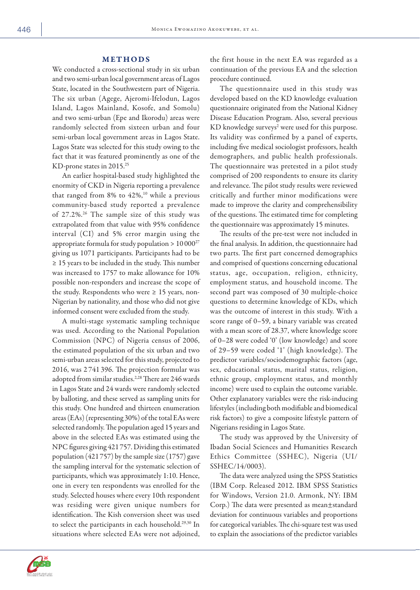## METHODS

We conducted a cross-sectional study in six urban and two semi-urban local government areas of Lagos State, located in the Southwestern part of Nigeria. The six urban (Agege, Ajeromi-Ifelodun, Lagos Island, Lagos Mainland, Kosofe, and Somolu) and two semi-urban (Epe and Ikorodu) areas were randomly selected from sixteen urban and four semi-urban local government areas in Lagos State. Lagos State was selected for this study owing to the fact that it was featured prominently as one of the KD-prone states in 2015.<sup>25</sup>

An earlier hospital-based study highlighted the enormity of CKD in Nigeria reporting a prevalence that ranged from  $8\%$  to  $42\%,^{10}$  while a previous community-based study reported a prevalence of 27.2%.26 The sample size of this study was extrapolated from that value with 95% confidence interval (CI) and 5% error margin using the appropriate formula for study population  $> 10000^{27}$ giving us 1071 participants. Participants had to be ≥ 15 years to be included in the study. This number was increased to 1757 to make allowance for 10% possible non-responders and increase the scope of the study. Respondents who were  $\geq 15$  years, non-Nigerian by nationality, and those who did not give informed consent were excluded from the study.

A multi-stage systematic sampling technique was used. According to the National Population Commission (NPC) of Nigeria census of 2006, the estimated population of the six urban and two semi-urban areas selected for this study, projected to 2016, was 2 741 396. The projection formular was adopted from similar studies.<sup>2,28</sup> There are 246 wards in Lagos State and 24 wards were randomly selected by balloting, and these served as sampling units for this study. One hundred and thirteen enumeration areas (EAs) (representing 30%) of the total EAs were selected randomly. The population aged 15 years and above in the selected EAs was estimated using the NPC figures giving 421757. Dividing this estimated population (421 757) by the sample size (1757) gave the sampling interval for the systematic selection of participants, which was approximately 1:10. Hence, one in every ten respondents was enrolled for the study. Selected houses where every 10th respondent was residing were given unique numbers for identification. The Kish conversion sheet was used to select the participants in each household.29,30 In situations where selected EAs were not adjoined,

the first house in the next EA was regarded as a continuation of the previous EA and the selection procedure continued.

The questionnaire used in this study was developed based on the KD knowledge evaluation questionnaire originated from the National Kidney Disease Education Program. Also, several previous KD knowledge surveys<sup>2</sup> were used for this purpose. Its validity was confirmed by a panel of experts, including five medical sociologist professors, health demographers, and public health professionals. The questionnaire was pretested in a pilot study comprised of 200 respondents to ensure its clarity and relevance. The pilot study results were reviewed critically and further minor modifications were made to improve the clarity and comprehensibility of the questions. The estimated time for completing the questionnaire was approximately 15 minutes.

The results of the pre-test were not included in the final analysis. In addition, the questionnaire had two parts. The first part concerned demographics and comprised of questions concerning educational status, age, occupation, religion, ethnicity, employment status, and household income. The second part was composed of 30 multiple-choice questions to determine knowledge of KDs, which was the outcome of interest in this study. With a score range of 0–59, a binary variable was created with a mean score of 28.37, where knowledge score of 0–28 were coded '0' (low knowledge) and score of 29–59 were coded '1' (high knowledge). The predictor variables/sociodemographic factors (age, sex, educational status, marital status, religion, ethnic group, employment status, and monthly income) were used to explain the outcome variable. Other explanatory variables were the risk-inducing lifestyles (including both modifiable and biomedical risk factors) to give a composite lifestyle pattern of Nigerians residing in Lagos State.

The study was approved by the University of Ibadan Social Sciences and Humanities Research Ethics Committee (SSHEC), Nigeria (UI/ SSHEC/14/0003).

The data were analyzed using the SPSS Statistics (IBM Corp. Released 2012. IBM SPSS Statistics for Windows, Version 21.0. Armonk, NY: IBM Corp.) The data were presented as mean±standard deviation for continuous variables and proportions for categorical variables. The chi-square test was used to explain the associations of the predictor variables

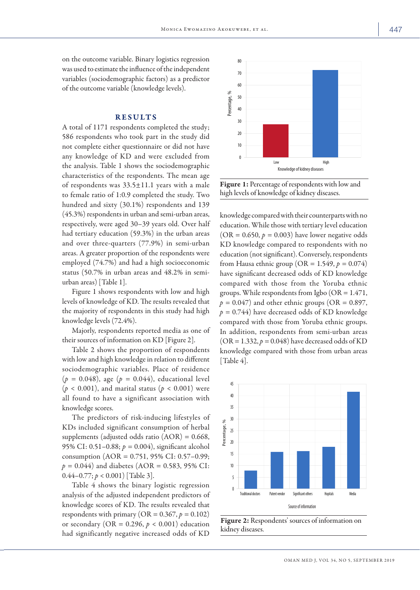on the outcome variable. Binary logistics regression was used to estimate the influence of the independent variables (sociodemographic factors) as a predictor of the outcome variable (knowledge levels).

# RESULTS

A total of 1171 respondents completed the study; 586 respondents who took part in the study did not complete either questionnaire or did not have any knowledge of KD and were excluded from the analysis. Table 1 shows the sociodemographic characteristics of the respondents. The mean age of respondents was 33.5±11.1 years with a male to female ratio of 1:0.9 completed the study. Two hundred and sixty (30.1%) respondents and 139 (45.3%) respondents in urban and semi-urban areas, respectively, were aged 30–39 years old. Over half had tertiary education (59.3%) in the urban areas and over three-quarters (77.9%) in semi-urban areas. A greater proportion of the respondents were employed (74.7%) and had a high socioeconomic status (50.7% in urban areas and 48.2% in semiurban areas) [Table 1].

Figure 1 shows respondents with low and high levels of knowledge of KD. The results revealed that the majority of respondents in this study had high knowledge levels (72.4%).

Majorly, respondents reported media as one of their sources of information on KD [Figure 2].

Table 2 shows the proportion of respondents with low and high knowledge in relation to different sociodemographic variables. Place of residence (*p =* 0.048), age (*p =* 0.044), educational level  $(p < 0.001)$ , and marital status  $(p < 0.001)$  were all found to have a significant association with knowledge scores.

The predictors of risk-inducing lifestyles of KDs included significant consumption of herbal supplements (adjusted odds ratio (AOR) = 0.668, 95% CI: 0.51–0.88; *p =* 0.004), significant alcohol consumption (AOR = 0.751, 95% CI: 0.57–0.99; *p =* 0.044) and diabetes (AOR = 0.583, 95% CI: 0.44–0.77; *p* < 0.001) [Table 3].

Table 4 shows the binary logistic regression analysis of the adjusted independent predictors of knowledge scores of KD. The results revealed that respondents with primary ( $OR = 0.367$ ,  $p = 0.102$ ) or secondary (OR =  $0.296$ ,  $p < 0.001$ ) education had significantly negative increased odds of KD



Figure 1: Percentage of respondents with low and high levels of knowledge of kidney diseases.

knowledge compared with their counterparts with no education. While those with tertiary level education  $(OR = 0.650, p = 0.003)$  have lower negative odds KD knowledge compared to respondents with no education (not significant). Conversely, respondents from Hausa ethnic group (OR =  $1.549$ ,  $p = 0.074$ ) have significant decreased odds of KD knowledge compared with those from the Yoruba ethnic groups. While respondents from Igbo ( $OR = 1.471$ ,  $p = 0.047$ ) and other ethnic groups (OR = 0.897, *p =* 0.744) have decreased odds of KD knowledge compared with those from Yoruba ethnic groups. In addition, respondents from semi-urban areas  $(OR = 1.332, p = 0.048)$  have decreased odds of KD knowledge compared with those from urban areas [Table 4].



Figure 2: Respondents' sources of information on kidney diseases.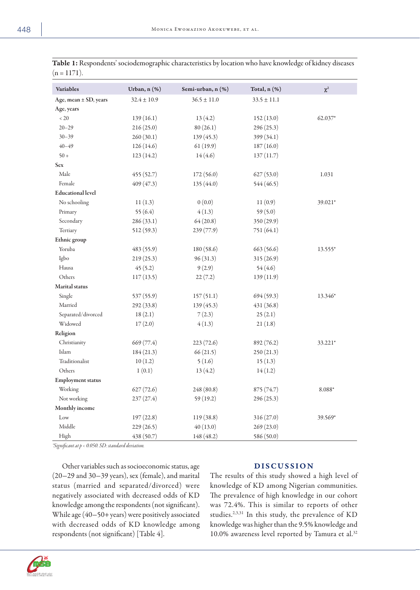| Variables                | Urban, n (%)    | Semi-urban, n (%) | Total, n (%)    | $\chi^2$ |
|--------------------------|-----------------|-------------------|-----------------|----------|
| Age, mean ± SD, years    | $32.4 \pm 10.9$ | $36.5 \pm 11.0$   | $33.5 \pm 11.1$ |          |
| Age, years               |                 |                   |                 |          |
| $< 20\,$                 | 139(16.1)       | 13(4.2)           | 152(13.0)       | 62.037*  |
| $20 - 29$                | 216(25.0)       | 80(26.1)          | 296 (25.3)      |          |
| $30 - 39$                | 260(30.1)       | 139(45.3)         | 399 (34.1)      |          |
| $40 - 49$                | 126 (14.6)      | 61(19.9)          | 187(16.0)       |          |
| $50 +$                   | 123(14.2)       | 14(4.6)           | 137(11.7)       |          |
| <b>Sex</b>               |                 |                   |                 |          |
| Male                     | 455(52.7)       | 172(56.0)         | 627(53.0)       | 1.031    |
| Female                   | 409 (47.3)      | 135 (44.0)        | 544 (46.5)      |          |
| <b>Educational level</b> |                 |                   |                 |          |
| No schooling             | 11(1.3)         | 0(0.0)            | 11(0.9)         | 39.021*  |
| Primary                  | 55 $(6.4)$      | 4(1.3)            | 59 $(5.0)$      |          |
| Secondary                | 286 (33.1)      | 64(20.8)          | 350 (29.9)      |          |
| Tertiary                 | 512 (59.3)      | 239 (77.9)        | 751 (64.1)      |          |
| Ethnic group             |                 |                   |                 |          |
| Yoruba                   | 483 (55.9)      | 180 (58.6)        | 663 (56.6)      | 13.555*  |
| Igbo                     | 219(25.3)       | 96(31.3)          | 315 (26.9)      |          |
| Hausa                    | 45(5.2)         | 9(2.9)            | 54(4.6)         |          |
| Others                   | 117(13.5)       | 22(7.2)           | 139(11.9)       |          |
| Marital status           |                 |                   |                 |          |
| Single                   | 537 (55.9)      | 157(51.1)         | 694(59.3)       | 13.346*  |
| Married                  | 292 (33.8)      | 139(45.3)         | 431 (36.8)      |          |
| Separated/divorced       | 18(2.1)         | 7(2.3)            | 25(2.1)         |          |
| Widowed                  | 17(2.0)         | 4(1.3)            | 21(1.8)         |          |
| Religion                 |                 |                   |                 |          |
| Christianity             | 669 (77.4)      | 223 (72.6)        | 892 (76.2)      | 33.221*  |
| Islam                    | 184 (21.3)      | 66(21.5)          | 250(21.3)       |          |
| Traditionalist           | 10(1.2)         | 5(1.6)            | 15(1.3)         |          |
| Others                   | 1(0.1)          | 13(4.2)           | 14(1.2)         |          |
| <b>Employment status</b> |                 |                   |                 |          |
| Working                  | 627(72.6)       | 248 (80.8)        | 875 (74.7)      | 8.088*   |
| Not working              | 237(27.4)       | 59 (19.2)         | 296 (25.3)      |          |
| Monthly income           |                 |                   |                 |          |
| Low                      | 197(22.8)       | 119 (38.8)        | 316 (27.0)      | 39.569*  |
| Middle                   | 229 (26.5)      | 40(13.0)          | 269(23.0)       |          |
| High                     | 438 (50.7)      | 148 (48.2)        | 586 (50.0)      |          |

Table 1: Respondents' sociodemographic characteristics by location who have knowledge of kidney diseases  $(n = 1171)$ .

*\*Significant at p < 0.050. SD: standard deviation.*

Other variables such as socioeconomic status, age (20-29 and 30-39 years), sex (female), and marital status (married and separated/divorced) were negatively associated with decreased odds of KD knowledge among the respondents (not significant). While age (40-50+years) were positively associated with decreased odds of KD knowledge among respondents (not significant) [Table 4].

# DISCUSSION

The results of this study showed a high level of knowledge of KD among Nigerian communities. The prevalence of high knowledge in our cohort was 72.4%. This is similar to reports of other studies.2,3,31 In this study, the prevalence of KD knowledge was higher than the 9.5% knowledge and 10.0% awareness level reported by Tamura et al.32

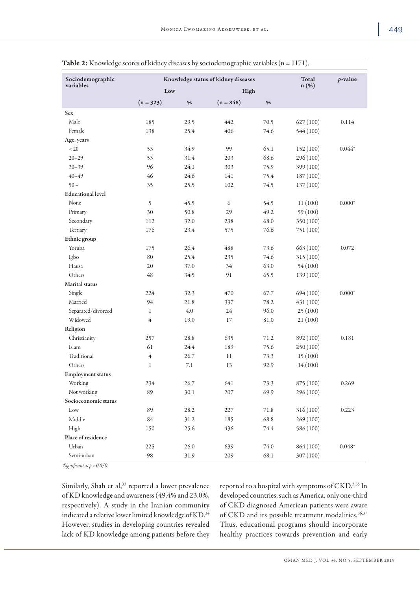| Sociodemographic         |                | Knowledge status of kidney diseases | <b>Total</b> | $p$ -value |           |          |
|--------------------------|----------------|-------------------------------------|--------------|------------|-----------|----------|
| variables                | Low            |                                     | High         |            | $n(\%)$   |          |
|                          | $(n = 323)$    | %                                   | $(n = 848)$  | %          |           |          |
| <b>Sex</b>               |                |                                     |              |            |           |          |
| Male                     | 185            | 29.5                                | 442          | 70.5       | 627(100)  | 0.114    |
| Female                   | 138            | 25.4                                | 406          | 74.6       | 544 (100) |          |
| Age, years               |                |                                     |              |            |           |          |
| $< 20\,$                 | 53             | 34.9                                | 99           | 65.1       | 152(100)  | $0.044*$ |
| $20 - 29$                | 53             | 31.4                                | 203          | 68.6       | 296 (100) |          |
| $30 - 39$                | 96             | 24.1                                | 303          | 75.9       | 399 (100) |          |
| $40 - 49$                | 46             | 24.6                                | 141          | 75.4       | 187 (100) |          |
| $50 +$                   | 35             | 25.5                                | 102          | 74.5       | 137 (100) |          |
| <b>Educational level</b> |                |                                     |              |            |           |          |
| None                     | 5              | 45.5                                | 6            | 54.5       | 11(100)   | $0.000*$ |
| Primary                  | 30             | 50.8                                | 29           | 49.2       | 59 (100)  |          |
| Secondary                | 112            | 32.0                                | 238          | 68.0       | 350 (100) |          |
| Tertiary                 | 176            | 23.4                                | 575          | 76.6       | 751 (100) |          |
| Ethnic group             |                |                                     |              |            |           |          |
| Yoruba                   | 175            | 26.4                                | 488          | 73.6       | 663 (100) | 0.072    |
| Igbo                     | 80             | 25.4                                | 235          | 74.6       | 315 (100) |          |
| Hausa                    | 20             | 37.0                                | 34           | 63.0       | 54(100)   |          |
| Others                   | 48             | 34.5                                | 91           | 65.5       | 139 (100) |          |
| Marital status           |                |                                     |              |            |           |          |
| Single                   | 224            | 32.3                                | 470          | 67.7       | 694 (100) | $0.000*$ |
| Married                  | 94             | 21.8                                | 337          | 78.2       | 431 (100) |          |
| Separated/divorced       | $\mathbf{1}$   | 4.0                                 | 24           | 96.0       | 25(100)   |          |
| Widowed                  | 4              | 19.0                                | 17           | 81.0       | 21(100)   |          |
| Religion                 |                |                                     |              |            |           |          |
| Christianity             | 257            | 28.8                                | 635          | 71.2       | 892 (100) | 0.181    |
| Islam                    | 61             | 24.4                                | 189          | 75.6       | 250 (100) |          |
| Traditional              | $\overline{4}$ | 26.7                                | 11           | 73.3       | 15(100)   |          |
| Others                   | $\mathbf 1$    | 7.1                                 | 13           | 92.9       | 14(100)   |          |
| <b>Employment status</b> |                |                                     |              |            |           |          |
| Working                  | 234            | 26.7                                | 641          | 73.3       | 875 (100) | 0.269    |
| Not working              | 89             | 30.1                                | 207          | 69.9       | 296 (100) |          |
| Socioeconomic status     |                |                                     |              |            |           |          |
| Low                      | 89             | 28.2                                | 227          | $71.8\,$   | 316 (100) | 0.223    |
| Middle                   | $84\,$         | 31.2                                | 185          | 68.8       | 269 (100) |          |
| High                     | 150            | 25.6                                | 436          | 74.4       | 586 (100) |          |
| Place of residence       |                |                                     |              |            |           |          |
| Urban                    | 225            | 26.0                                | 639          | 74.0       | 864 (100) | $0.048*$ |
| Semi-urban               | 98             | 31.9                                | 209          | 68.1       | 307 (100) |          |

|  |  |  | <b>Table 2:</b> Knowledge scores of kidney diseases by sociodemographic variables $(n = 1171)$ . |  |  |  |  |  |  |  |  |  |  |  |
|--|--|--|--------------------------------------------------------------------------------------------------|--|--|--|--|--|--|--|--|--|--|--|
|--|--|--|--------------------------------------------------------------------------------------------------|--|--|--|--|--|--|--|--|--|--|--|

*\*Significant at p < 0.050.*

Similarly, Shah et al,<sup>33</sup> reported a lower prevalence of KD knowledge and awareness (49.4% and 23.0%, respectively). A study in the Iranian community indicated a relative lower limited knowledge of KD. 34 However, studies in developing countries revealed lack of KD knowledge among patients before they

reported to a hospital with symptoms of CKD. 2,35 In developed countries, such as America, only one-third of CKD diagnosed American patients were aware of CKD and its possible treatment modalities.<sup>36,37</sup> Thus, educational programs should incorporate healthy practices towards prevention and early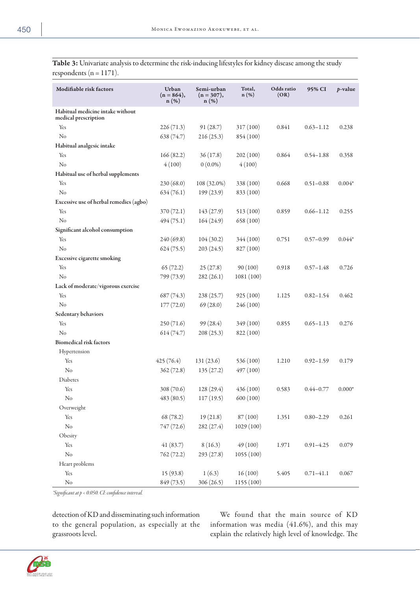Table 3: Univariate analysis to determine the risk-inducing lifestyles for kidney disease among the study respondents ( $n = 1171$ ).

| Modifiable risk factors                                  | Urban<br>$(n = 864),$<br>$n(\%)$ | Semi-urban<br>$(n = 307),$<br>$n(\%)$ | Total,<br>$n(\%)$ | Odds ratio<br>(OR) | 95% CI        | $p$ -value |
|----------------------------------------------------------|----------------------------------|---------------------------------------|-------------------|--------------------|---------------|------------|
| Habitual medicine intake without<br>medical prescription |                                  |                                       |                   |                    |               |            |
| Yes                                                      | 226(71.3)                        | 91(28.7)                              | 317 (100)         | 0.841              | $0.63 - 1.12$ | 0.238      |
| N <sub>o</sub>                                           | 638 (74.7)                       | 216(25.3)                             | 854 (100)         |                    |               |            |
| Habitual analgesic intake                                |                                  |                                       |                   |                    |               |            |
| Yes                                                      | 166(82.2)                        | 36(17.8)                              | 202(100)          | 0.864              | $0.54 - 1.88$ | 0.358      |
| N <sub>o</sub>                                           | 4(100)                           | $0(0.0\%)$                            | 4(100)            |                    |               |            |
| Habitual use of herbal supplements                       |                                  |                                       |                   |                    |               |            |
| Yes                                                      | 230 (68.0)                       | 108 (32.0%)                           | 338 (100)         | 0.668              | $0.51 - 0.88$ | $0.004*$   |
| N <sub>o</sub>                                           | 634(76.1)                        | 199 (23.9)                            | 833 (100)         |                    |               |            |
| Excessive use of herbal remedies (agbo)                  |                                  |                                       |                   |                    |               |            |
| Yes                                                      | 370 (72.1)                       | 143 (27.9)                            | 513 (100)         | 0.859              | $0.66 - 1.12$ | 0.255      |
| No                                                       | 494 (75.1)                       | 164 (24.9)                            | 658 (100)         |                    |               |            |
| Significant alcohol consumption                          |                                  |                                       |                   |                    |               |            |
| Yes                                                      | 240 (69.8)                       | 104(30.2)                             | 344 (100)         | 0.751              | $0.57 - 0.99$ | $0.044*$   |
| No                                                       | 624(75.5)                        | 203(24.5)                             | 827 (100)         |                    |               |            |
| <b>Excessive cigarette smoking</b>                       |                                  |                                       |                   |                    |               |            |
| Yes                                                      | 65(72.2)                         | 25(27.8)                              | 90(100)           | 0.918              | $0.57 - 1.48$ | 0.726      |
| No                                                       | 799 (73.9)                       | 282(26.1)                             | 1081 (100)        |                    |               |            |
| Lack of moderate/vigorous exercise                       |                                  |                                       |                   |                    |               |            |
| Yes                                                      | 687 (74.3)                       | 238(25.7)                             | 925(100)          | 1.125              | $0.82 - 1.54$ | 0.462      |
| No                                                       | 177(72.0)                        | 69(28.0)                              | 246 (100)         |                    |               |            |
| Sedentary behaviors                                      |                                  |                                       |                   |                    |               |            |
| Yes                                                      | 250 (71.6)                       | 99 (28.4)                             | 349 (100)         | 0.855              | $0.65 - 1.13$ | 0.276      |
| No                                                       | 614(74.7)                        | 208(25.3)                             | 822 (100)         |                    |               |            |
| <b>Biomedical risk factors</b>                           |                                  |                                       |                   |                    |               |            |
| Hypertension                                             |                                  |                                       |                   |                    |               |            |
| Yes                                                      | 425(76.4)                        | 131(23.6)                             | 536 (100)         | 1.210              | $0.92 - 1.59$ | 0.179      |
| N <sub>o</sub>                                           | 362(72.8)                        | 135(27.2)                             | 497 (100)         |                    |               |            |
| Diabetes                                                 |                                  |                                       |                   |                    |               |            |
| Yes                                                      | 308 (70.6)                       | 128 (29.4)                            | 436(100)          | 0.583              | $0.44 - 0.77$ | $0.000*$   |
| N <sub>o</sub>                                           | 483 (80.5)                       | 117(19.5)                             | 600 (100)         |                    |               |            |
| Overweight                                               |                                  |                                       |                   |                    |               |            |
| Yes                                                      | 68 (78.2)                        | 19(21.8)                              | 87 (100)          | 1.351              | $0.80 - 2.29$ | 0.261      |
| $\rm No$                                                 | 747 (72.6)                       | 282 (27.4)                            | 1029 (100)        |                    |               |            |
| Obesity                                                  |                                  |                                       |                   |                    |               |            |
| Yes                                                      | 41(83.7)                         | 8(16.3)                               | 49(100)           | 1.971              | $0.91 - 4.25$ | 0.079      |
| $\rm No$                                                 | 762 (72.2)                       | 293 (27.8)                            | 1055(100)         |                    |               |            |
| Heart problems                                           |                                  |                                       |                   |                    |               |            |
| Yes                                                      | 15 (93.8)                        | 1(6.3)                                | 16(100)           | 5.405              | $0.71 - 41.1$ | 0.067      |
| No                                                       | 849 (73.5)                       | 306 (26.5)                            | 1155 (100)        |                    |               |            |

*\*Significant at p < 0.050. CI: confidence interval.*

detection of KD and disseminating such information to the general population, as especially at the grassroots level.

We found that the main source of KD information was media (41.6%), and this may explain the relatively high level of knowledge. The

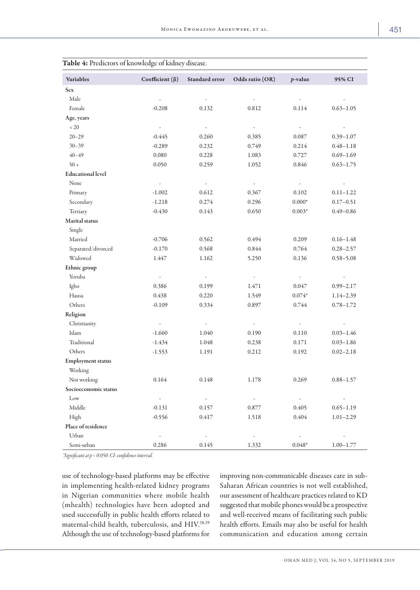| <b>Variables</b>         | Coefficient ( $\beta$ )  | Standard error           | Odds ratio (OR)          | $p$ -value               | 95% CI        |
|--------------------------|--------------------------|--------------------------|--------------------------|--------------------------|---------------|
| <b>Sex</b>               |                          |                          |                          |                          |               |
| Male                     | $\overline{\phantom{a}}$ | $\frac{1}{2}$            |                          | $\overline{\phantom{a}}$ |               |
| Female                   | $-0.208$                 | 0.132                    | 0.812                    | 0.114                    | $0.63 - 1.05$ |
| Age, years               |                          |                          |                          |                          |               |
| $< 20\,$                 | $\overline{\phantom{a}}$ | $\overline{\phantom{a}}$ | $\overline{\phantom{a}}$ | $\overline{\phantom{a}}$ |               |
| $20 - 29$                | $-0.445$                 | 0.260                    | 0.385                    | 0.087                    | $0.39 - 1.07$ |
| $30 - 39$                | $-0.289$                 | 0.232                    | 0.749                    | 0.214                    | $0.48 - 1.18$ |
| $40 - 49$                | 0.080                    | 0.228                    | 1.083                    | 0.727                    | $0.69 - 1.69$ |
| $50 +$                   | 0.050                    | 0.259                    | 1.052                    | 0.846                    | $0.63 - 1.75$ |
| <b>Educational level</b> |                          |                          |                          |                          |               |
| None                     | $\overline{\phantom{a}}$ | $\overline{\phantom{a}}$ | $\overline{\phantom{a}}$ | k,                       |               |
| Primary                  | $-1.002$                 | 0.612                    | 0.367                    | 0.102                    | $0.11 - 1.22$ |
| Secondary                | $-1.218$                 | 0.274                    | 0.296                    | $0.000*$                 | $0.17 - 0.51$ |
| Tertiary                 | $-0.430$                 | 0.143                    | 0.650                    | $0.003*$                 | $0.49 - 0.86$ |
| Marital status           |                          |                          |                          |                          |               |
| Single                   |                          |                          |                          |                          |               |
| Married                  | $-0.706$                 | 0.562                    | 0.494                    | 0.209                    | $0.16 - 1.48$ |
| Separated/divorced       | $-0.170$                 | 0.568                    | 0.844                    | 0.764                    | $0.28 - 2.57$ |
| Widowed                  | 1.447                    | 1.162                    | 5.250                    | 0.136                    | $0.58 - 5.08$ |
| Ethnic group             |                          |                          |                          |                          |               |
| Yoruba                   |                          | -                        |                          | $\overline{\phantom{a}}$ |               |
| Igbo                     | 0.386                    | 0.199                    | 1.471                    | 0.047                    | $0.99 - 2.17$ |
| Hausa                    | 0.438                    | 0.220                    | 1.549                    | $0.074*$                 | $1.14 - 2.39$ |
| Others                   | $-0.109$                 | 0.334                    | 0.897                    | 0.744                    | $0.78 - 1.72$ |
| Religion                 |                          |                          |                          |                          |               |
| Christianity             | $\overline{\phantom{a}}$ | $\overline{\phantom{a}}$ | $\overline{\phantom{a}}$ | $\overline{\phantom{a}}$ |               |
| Islam                    | $-1.660$                 | 1.040                    | 0.190                    | 0.110                    | $0.03 - 1.46$ |
| Traditional              | $-1.434$                 | 1.048                    | 0.238                    | 0.171                    | $0.03 - 1.86$ |
| Others                   | $-1.553$                 | 1.191                    | 0.212                    | 0.192                    | $0.02 - 2.18$ |
| <b>Employment status</b> |                          |                          |                          |                          |               |
| Working                  |                          |                          |                          |                          |               |
| Not working              | 0.164                    | 0.148                    | $1.178\,$                | 0.269                    | $0.88 - 1.57$ |
| Socioeconomic status     |                          |                          |                          |                          |               |
| Low                      | $\sim$                   | $\sim$                   | $\sim$                   | $\omega$                 | $\omega$      |
| Middle                   | $-0.131$                 | 0.157                    | 0.877                    | 0.405                    | $0.65 - 1.19$ |
| High                     | $-0.556$                 | 0.417                    | 1.518                    | 0.404                    | $1.01 - 2.29$ |
| Place of residence       |                          |                          |                          |                          |               |
| Urban                    | $\omega_{\rm c}$         | $\omega_{\rm c}$         | $\sim$                   | $\overline{\phantom{a}}$ | $\sim$        |
| Semi-urban               | 0.286                    | 0.145                    | 1.332                    | $0.048*$                 | $1.00 - 1.77$ |

|  |  |  |  |  |  |  |  |  |  |  |  |  | <b>Table 4:</b> Predictors of knowledge of kidney disease. |  |
|--|--|--|--|--|--|--|--|--|--|--|--|--|------------------------------------------------------------|--|
|--|--|--|--|--|--|--|--|--|--|--|--|--|------------------------------------------------------------|--|

*\*Significant at p < 0.050. CI: confidence interval.*

use of technology-based platforms may be effective in implementing health-related kidney programs in Nigerian communities where mobile health (mhealth) technologies have been adopted and used successfully in public health efforts related to maternal-child health, tuberculosis, and HIV. 38,39 Although the use of technology-based platforms for improving non-communicable diseases care in sub-Saharan African countries is not well established, our assessment of healthcare practices related to KD suggested that mobile phones would be a prospective and well-received means of facilitating such public health efforts. Emails may also be useful for health communication and education among certain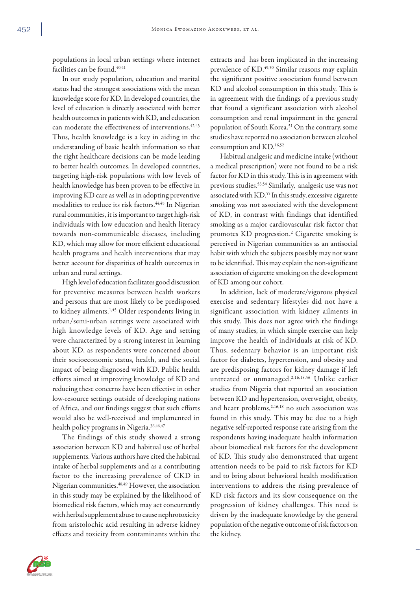populations in local urban settings where internet facilities can be found.<sup>40,41</sup>

In our study population, education and marital status had the strongest associations with the mean knowledge score for KD. In developed countries, the level of education is directly associated with better health outcomes in patients with KD, and education can moderate the effectiveness of interventions.<sup>42,43</sup> Thus, health knowledge is a key in aiding in the understanding of basic health information so that the right healthcare decisions can be made leading to better health outcomes. In developed countries, targeting high-risk populations with low levels of health knowledge has been proven to be effective in improving KD care as well as in adopting preventive modalities to reduce its risk factors.<sup>44,45</sup> In Nigerian rural communities, it is important to target high-risk individuals with low education and health literacy towards non-communicable diseases, including KD, which may allow for more efficient educational health programs and health interventions that may better account for disparities of health outcomes in urban and rural settings.

High level of education facilitates good discussion for preventive measures between health workers and persons that are most likely to be predisposed to kidney ailments.<sup>1,45</sup> Older respondents living in urban/semi-urban settings were associated with high knowledge levels of KD. Age and setting were characterized by a strong interest in learning about KD, as respondents were concerned about their socioeconomic status, health, and the social impact of being diagnosed with KD. Public health efforts aimed at improving knowledge of KD and reducing these concerns have been effective in other low-resource settings outside of developing nations of Africa, and our findings suggest that such efforts would also be well-received and implemented in health policy programs in Nigeria.<sup>36,46,47</sup>

The findings of this study showed a strong association between KD and habitual use of herbal supplements. Various authors have cited the habitual intake of herbal supplements and as a contributing factor to the increasing prevalence of CKD in Nigerian communities.48,49 However, the association in this study may be explained by the likelihood of biomedical risk factors, which may act concurrently with herbal supplement abuse to cause nephrotoxicity from aristolochic acid resulting in adverse kidney effects and toxicity from contaminants within the

extracts and has been implicated in the increasing prevalence of KD. 49,50 Similar reasons may explain the significant positive association found between KD and alcohol consumption in this study. This is in agreement with the findings of a previous study that found a significant association with alcohol consumption and renal impairment in the general population of South Korea.<sup>51</sup> On the contrary, some studies have reported no association between alcohol consumption and KD. 16,52

Habitual analgesic and medicine intake (without a medical prescription) were not found to be a risk factor for KD in this study. This is in agreement with previous studies.53,54 Similarly, analgesic use was not associated with KD. 55 In this study, excessive cigarette smoking was not associated with the development of KD, in contrast with findings that identified smoking as a major cardiovascular risk factor that promotes KD progression.2 Cigarette smoking is perceived in Nigerian communities as an antisocial habit with which the subjects possibly may not want to be identified. This may explain the non-significant association of cigarette smoking on the development of KD among our cohort.

In addition, lack of moderate/vigorous physical exercise and sedentary lifestyles did not have a significant association with kidney ailments in this study. This does not agree with the findings of many studies, in which simple exercise can help improve the health of individuals at risk of KD. Thus, sedentary behavior is an important risk factor for diabetes, hypertension, and obesity and are predisposing factors for kidney damage if left untreated or unmanaged.2,16,18,56 Unlike earlier studies from Nigeria that reported an association between KD and hypertension, overweight, obesity, and heart problems,<sup>2,16,18</sup> no such association was found in this study. This may be due to a high negative self-reported response rate arising from the respondents having inadequate health information about biomedical risk factors for the development of KD. This study also demonstrated that urgent attention needs to be paid to risk factors for KD and to bring about behavioral health modification interventions to address the rising prevalence of KD risk factors and its slow consequence on the progression of kidney challenges. This need is driven by the inadequate knowledge by the general population of the negative outcome of risk factors on the kidney.

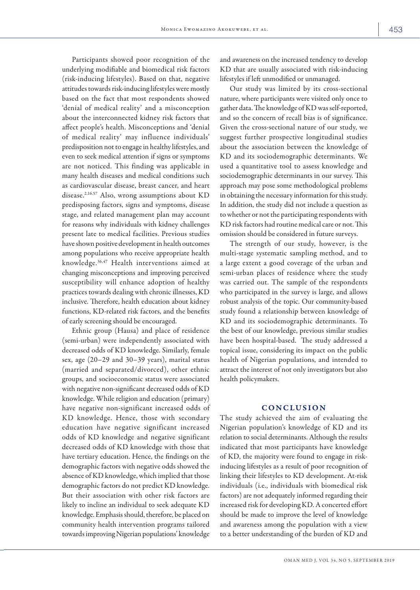Participants showed poor recognition of the underlying modifiable and biomedical risk factors (risk-inducing lifestyles). Based on that, negative attitudes towards risk-inducing lifestyles were mostly based on the fact that most respondents showed 'denial of medical reality' and a misconception about the interconnected kidney risk factors that affect people's health. Misconceptions and 'denial of medical reality' may influence individuals' predisposition not to engage in healthy lifestyles, and even to seek medical attention if signs or symptoms are not noticed. This finding was applicable in many health diseases and medical conditions such as cardiovascular disease, breast cancer, and heart disease.2,16,57 Also, wrong assumptions about KD predisposing factors, signs and symptoms, disease stage, and related management plan may account for reasons why individuals with kidney challenges present late to medical facilities. Previous studies have shown positive development in health outcomes among populations who receive appropriate health knowledge.36,47 Health interventions aimed at changing misconceptions and improving perceived susceptibility will enhance adoption of healthy practices towards dealing with chronic illnesses, KD inclusive. Therefore, health education about kidney functions, KD-related risk factors, and the benefits of early screening should be encouraged.

Ethnic group (Hausa) and place of residence (semi-urban) were independently associated with decreased odds of KD knowledge. Similarly, female sex, age (20–29 and 30–39 years), marital status (married and separated/divorced), other ethnic groups, and socioeconomic status were associated with negative non-significant decreased odds of KD knowledge. While religion and education (primary) have negative non-significant increased odds of KD knowledge. Hence, those with secondary education have negative significant increased odds of KD knowledge and negative significant decreased odds of KD knowledge with those that have tertiary education. Hence, the findings on the demographic factors with negative odds showed the absence of KD knowledge, which implied that those demographic factors do not predict KD knowledge. But their association with other risk factors are likely to incline an individual to seek adequate KD knowledge. Emphasis should, therefore, be placed on community health intervention programs tailored towards improving Nigerian populations' knowledge

and awareness on the increased tendency to develop KD that are usually associated with risk-inducing lifestyles if left unmodified or unmanaged.

Our study was limited by its cross-sectional nature, where participants were visited only once to gather data. The knowledge of KD was self-reported, and so the concern of recall bias is of significance. Given the cross-sectional nature of our study, we suggest further prospective longitudinal studies about the association between the knowledge of KD and its sociodemographic determinants. We used a quantitative tool to assess knowledge and sociodemographic determinants in our survey. This approach may pose some methodological problems in obtaining the necessary information for this study. In addition, the study did not include a question as to whether or not the participating respondents with KD risk factors had routine medical care or not. This omission should be considered in future surveys.

The strength of our study, however, is the multi-stage systematic sampling method, and to a large extent a good coverage of the urban and semi-urban places of residence where the study was carried out. The sample of the respondents who participated in the survey is large, and allows robust analysis of the topic. Our community-based study found a relationship between knowledge of KD and its sociodemographic determinants. To the best of our knowledge, previous similar studies have been hospital-based. The study addressed a topical issue, considering its impact on the public health of Nigerian populations, and intended to attract the interest of not only investigators but also health policymakers.

## CONCLUSION

The study achieved the aim of evaluating the Nigerian population's knowledge of KD and its relation to social determinants. Although the results indicated that most participants have knowledge of KD, the majority were found to engage in riskinducing lifestyles as a result of poor recognition of linking their lifestyles to KD development. At-risk individuals (i.e., individuals with biomedical risk factors) are not adequately informed regarding their increased risk for developing KD. A concerted effort should be made to improve the level of knowledge and awareness among the population with a view to a better understanding of the burden of KD and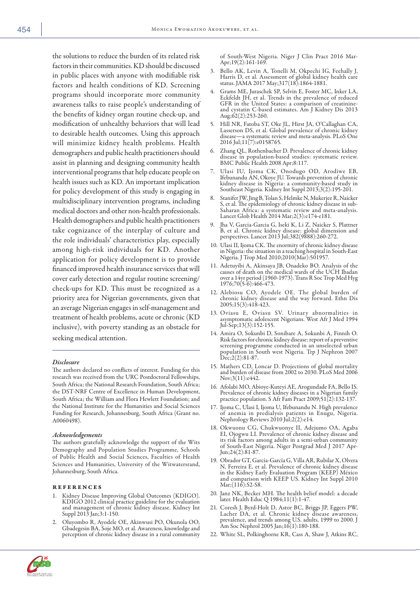the solutions to reduce the burden of its related risk factors in their communities. KD should be discussed in public places with anyone with modifiable risk factors and health conditions of KD. Screening programs should incorporate more community awareness talks to raise people's understanding of the benefits of kidney organ routine check-up, and modification of unhealthy behaviors that will lead to desirable health outcomes. Using this approach will minimize kidney health problems. Health demographers and public health practitioners should assist in planning and designing community health interventional programs that help educate people on health issues such as KD. An important implication for policy development of this study is engaging in multidisciplinary intervention programs, including medical doctors and other non-health professionals. Health demographers and public health practitioners take cognizance of the interplay of culture and the role individuals' characteristics play, especially among high-risk individuals for KD. Another application for policy development is to provide financed improved health insurance services that will cover early detection and regular routine screening/ check-ups for KD. This must be recognized as a priority area for Nigerian governments, given that an average Nigerian engages in self-management and treatment of health problems, acute or chronic (KD inclusive), with poverty standing as an obstacle for seeking medical attention.

#### *Disclosure*

The authors declared no conflicts of interest. Funding for this research was received from the URC Postdoctoral Fellowships, South Africa; the National Research Foundation, South Africa; the DST-NRF Centre of Excellence in Human Development, South Africa; the William and Flora Hewlett Foundation; and the National Institute for the Humanities and Social Sciences Funding for Research, Johannesburg, South Africa (Grant no. A0060498).

#### *Acknowledgements*

The authors gratefully acknowledge the support of the Wits Demography and Population Studies Programme, Schools of Public Health and Social Sciences, Faculties of Health Sciences and Humanities, University of the Witwatersrand, Johannesburg, South Africa.

#### references

- Kidney Disease Improving Global Outcomes (KDIGO). KDIGO 2012 clinical practice guideline for the evaluation and management of chronic kidney disease. Kidney Int Suppl 2013 Jan;3:1-150.
- 2. Oluyombo R, Ayodele OE, Akinwusi PO, Okunola OO, perception of chronic kidney disease in a rural community

of South-West Nigeria. Niger J Clin Pract 2016 Mar- Apr;19(2):161-169.

- 3. Bello AK, Levin A, Tonelli M, Okpechi IG, Feehally J, Harris D, et al. Assessment of global kidney health care status. JAMA 2017 May;317(18):1864-1881.
- Grams ME, Juraschek SP, Selvin E, Foster MC, Inker LA, Eckfeldt JH, et al. Trends in the prevalence of reduced GFR in the United States: a comparison of creatinineand cystatin C-based estimates. Am J Kidney Dis 2013 Aug;62(2):253-260.
- 5. Hill NR, Fatoba ST, Oke JL, Hirst JA, O'Callaghan CA, Lasserson DS, et al. Global prevalence of chronic kidney disease—a systematic review and meta-analysis. PLoS One 2016 Jul;11(7):e0158765.
- Zhang QL, Rothenbacher D. Prevalence of chronic kidney disease in population-based studies: systematic review. BMC Public Health 2008 Apr;8:117.
- 7. Ulasi IU, Ijoma CK, Onodugo OD, Arodiwe EB, Ifebunandu AN, Okoye JU. Towards prevention of chronic kidney disease in Nigeria: a community-based study in Southeast Nigeria. Kidney Int Suppl 2013;3(2):195-201.
- 8. Stanifer JW, Jing B, Tolan S, Helmke N, Mukerjee R, Naicker S, et al. The epidemiology of chronic kidney disease in sub-Saharan Africa: a systematic review and meta-analysis. Lancet Glob Health 2014 Mar;2(3):e174-e181.
- 9. Jha V, Garcia-Garcia G, Iseki K, Li Z, Naicker S, Plattner B, et al. Chronic kidney disease: global dimension and perspectives. Lancet 2013 Jul;382(9888):260-272.
- 10. Ulasi II, Ijoma CK. The enormity of chronic kidney disease in Nigeria: the situation in a teaching hospital in South-East Nigeria. J Trop Med 2010;2010(Mar):501957.
- 11. Adetuyibi A, Akinsaya JB, Onadeko BO. Analysis of the causes of death on the medical wards of the UCH Ibadan over a 14yr period (1960-1973). Trans R Soc Trop Med Hyg 1976;70(5-6):466-473.
- 12. Alebiosu CO, Ayodele OE. The global burden of chronic kidney disease and the way forward. Ethn Dis 2005;15(3):418-423.
- 13. Oviasu E, Oviasu SV. Urinary abnormalities in asymptomatic adolescent Nigerians. West Afr J Med 1994 Jul-Sep;13(3):152-155.
- 14. Amira O, Sokunbi D, Sonibare A, Sokunbi A, Finnih O. Risk factors for chronic kidney disease: report of a preventive screening programme conducted in an unselected urban population in South west Nigeria. Trp J Nephron 2007 Dec;2(2):81-87.
- 15. Mathers CD, Loncar D. Projections of global mortality and burden of disease from 2002 to 2030. PLoS Med 2006 Nov;3(11):e442.
- 16. Afolabi MO, Abioye-Kuteyi AE, Arogundade FA, Bello IS. practice population. S Afr Fam Pract 2009;51(2):132-137.
- 17. Ijoma C, Ulasi I, Ijoma U, Ifebunandu N. High prevalence of anemia in predialysis patients in Enugu, Nigeria. Nephrology Reviews 2010 Jul;2(2):e14.
- 18. Okwuonu CG, Chukwuonye II, Adejumo OA, Agaba EI, Ojogwu LI. Prevalence of chronic kidney disease and its risk factors among adults in a semi-urban community of South-East Nigeria. Niger Postgrad Med J 2017 Apr- Jun;24(2):81-87.
- 19. Obrador GT, García-García G, Villa AR, Rubilar X, Olvera N, Ferreira E, et al. Prevalence of chronic kidney disease in the Kidney Early Evaluation Program (KEEP) México and comparison with KEEP US. Kidney Int Suppl 2010 Mar;(116):S2-S8.
- 20. Janz NK, Becker MH. The health belief model: a decade later. Health Educ Q 1984;11(1):1-47.
- 21. Coresh J, Byrd-Holt D, Astor BC, Briggs JP, Eggers PW, Lacher DA, et al. Chronic kidney disease awareness, prevalence, and trends among U.S. adults, 1999 to 2000. J Am Soc Nephrol 2005 Jan;16(1):180-188.
- 22. White SL, Polkinghorne KR, Cass A, Shaw J, Atkins RC,